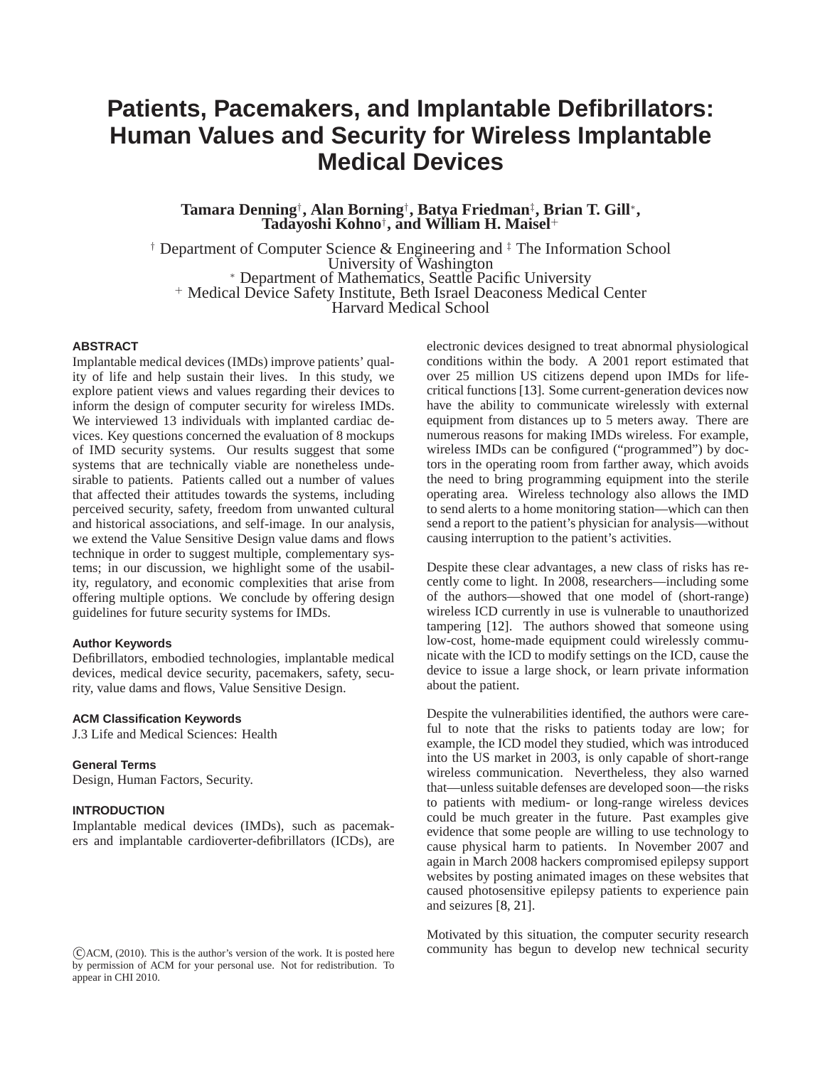# **Patients, Pacemakers, and Implantable Defibrillators: Human Values and Security for Wireless Implantable Medical Devices**

**Tamara Denning**† **, Alan Borning**† **, Batya Friedman**‡ **, Brian T. Gill**<sup>∗</sup> **, Tadayoshi Kohno**† **, and William H. Maisel**<sup>+</sup>

<sup>†</sup> Department of Computer Science & Engineering and  $\frac{1}{2}$  The Information School University of Washington <sup>∗</sup> Department of Mathematics, Seattle Pacific University <sup>+</sup> Medical Device Safety Institute, Beth Israel Deaconess Medical Center Harvard Medical School

#### **ABSTRACT**

Implantable medical devices (IMDs) improve patients' quality of life and help sustain their lives. In this study, we explore patient views and values regarding their devices to inform the design of computer security for wireless IMDs. We interviewed 13 individuals with implanted cardiac devices. Key questions concerned the evaluation of 8 mockups of IMD security systems. Our results suggest that some systems that are technically viable are nonetheless undesirable to patients. Patients called out a number of values that affected their attitudes towards the systems, including perceived security, safety, freedom from unwanted cultural and historical associations, and self-image. In our analysis, we extend the Value Sensitive Design value dams and flows technique in order to suggest multiple, complementary systems; in our discussion, we highlight some of the usability, regulatory, and economic complexities that arise from offering multiple options. We conclude by offering design guidelines for future security systems for IMDs.

#### **Author Keywords**

Defibrillators, embodied technologies, implantable medical devices, medical device security, pacemakers, safety, security, value dams and flows, Value Sensitive Design.

#### **ACM Classification Keywords**

J.3 Life and Medical Sciences: Health

#### **General Terms**

Design, Human Factors, Security.

#### **INTRODUCTION**

Implantable medical devices (IMDs), such as pacemakers and implantable cardioverter-defibrillators (ICDs), are electronic devices designed to treat abnormal physiological conditions within the body. A 2001 report estimated that over 25 million US citizens depend upon IMDs for lifecritical functions [\[13\]](#page-9-0). Some current-generation devices now have the ability to communicate wirelessly with external equipment from distances up to 5 meters away. There are numerous reasons for making IMDs wireless. For example, wireless IMDs can be configured ("programmed") by doctors in the operating room from farther away, which avoids the need to bring programming equipment into the sterile operating area. Wireless technology also allows the IMD to send alerts to a home monitoring station—which can then send a report to the patient's physician for analysis—without causing interruption to the patient's activities.

Despite these clear advantages, a new class of risks has recently come to light. In 2008, researchers—including some of the authors—showed that one model of (short-range) wireless ICD currently in use is vulnerable to unauthorized tampering [\[12\]](#page-9-1). The authors showed that someone using low-cost, home-made equipment could wirelessly communicate with the ICD to modify settings on the ICD, cause the device to issue a large shock, or learn private information about the patient.

Despite the vulnerabilities identified, the authors were careful to note that the risks to patients today are low; for example, the ICD model they studied, which was introduced into the US market in 2003, is only capable of short-range wireless communication. Nevertheless, they also warned that—unless suitable defenses are developed soon—the risks to patients with medium- or long-range wireless devices could be much greater in the future. Past examples give evidence that some people are willing to use technology to cause physical harm to patients. In November 2007 and again in March 2008 hackers compromised epilepsy support websites by posting animated images on these websites that caused photosensitive epilepsy patients to experience pain and seizures [\[8,](#page-9-2) [21\]](#page-9-3).

Motivated by this situation, the computer security research community has begun to develop new technical security

 $\overline{C}$ ACM, (2010). This is the author's version of the work. It is posted here by permission of ACM for your personal use. Not for redistribution. To appear in CHI 2010.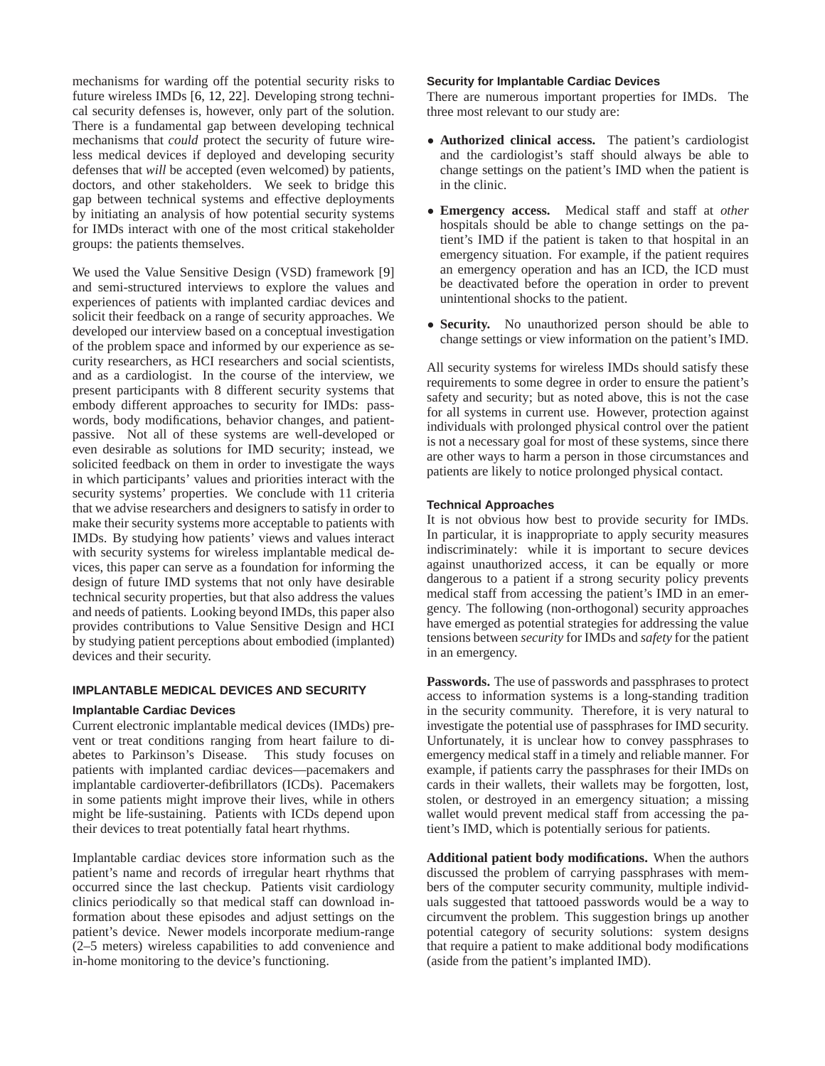mechanisms for warding off the potential security risks to future wireless IMDs [\[6,](#page-9-4) [12,](#page-9-1) [22\]](#page-9-5). Developing strong technical security defenses is, however, only part of the solution. There is a fundamental gap between developing technical mechanisms that *could* protect the security of future wireless medical devices if deployed and developing security defenses that *will* be accepted (even welcomed) by patients, doctors, and other stakeholders. We seek to bridge this gap between technical systems and effective deployments by initiating an analysis of how potential security systems for IMDs interact with one of the most critical stakeholder groups: the patients themselves.

We used the Value Sensitive Design (VSD) framework [\[9\]](#page-9-6) and semi-structured interviews to explore the values and experiences of patients with implanted cardiac devices and solicit their feedback on a range of security approaches. We developed our interview based on a conceptual investigation of the problem space and informed by our experience as security researchers, as HCI researchers and social scientists, and as a cardiologist. In the course of the interview, we present participants with 8 different security systems that embody different approaches to security for IMDs: passwords, body modifications, behavior changes, and patientpassive. Not all of these systems are well-developed or even desirable as solutions for IMD security; instead, we solicited feedback on them in order to investigate the ways in which participants' values and priorities interact with the security systems' properties. We conclude with 11 criteria that we advise researchers and designers to satisfy in order to make their security systems more acceptable to patients with IMDs. By studying how patients' views and values interact with security systems for wireless implantable medical devices, this paper can serve as a foundation for informing the design of future IMD systems that not only have desirable technical security properties, but that also address the values and needs of patients. Looking beyond IMDs, this paper also provides contributions to Value Sensitive Design and HCI by studying patient perceptions about embodied (implanted) devices and their security.

#### **IMPLANTABLE MEDICAL DEVICES AND SECURITY**

#### **Implantable Cardiac Devices**

Current electronic implantable medical devices (IMDs) prevent or treat conditions ranging from heart failure to diabetes to Parkinson's Disease. This study focuses on patients with implanted cardiac devices—pacemakers and implantable cardioverter-defibrillators (ICDs). Pacemakers in some patients might improve their lives, while in others might be life-sustaining. Patients with ICDs depend upon their devices to treat potentially fatal heart rhythms.

Implantable cardiac devices store information such as the patient's name and records of irregular heart rhythms that occurred since the last checkup. Patients visit cardiology clinics periodically so that medical staff can download information about these episodes and adjust settings on the patient's device. Newer models incorporate medium-range (2–5 meters) wireless capabilities to add convenience and in-home monitoring to the device's functioning.

#### **Security for Implantable Cardiac Devices**

There are numerous important properties for IMDs. The three most relevant to our study are:

- **Authorized clinical access.** The patient's cardiologist and the cardiologist's staff should always be able to change settings on the patient's IMD when the patient is in the clinic.
- **Emergency access.** Medical staff and staff at *other* hospitals should be able to change settings on the patient's IMD if the patient is taken to that hospital in an emergency situation. For example, if the patient requires an emergency operation and has an ICD, the ICD must be deactivated before the operation in order to prevent unintentional shocks to the patient.
- **Security.** No unauthorized person should be able to change settings or view information on the patient's IMD.

All security systems for wireless IMDs should satisfy these requirements to some degree in order to ensure the patient's safety and security; but as noted above, this is not the case for all systems in current use. However, protection against individuals with prolonged physical control over the patient is not a necessary goal for most of these systems, since there are other ways to harm a person in those circumstances and patients are likely to notice prolonged physical contact.

#### **Technical Approaches**

It is not obvious how best to provide security for IMDs. In particular, it is inappropriate to apply security measures indiscriminately: while it is important to secure devices against unauthorized access, it can be equally or more dangerous to a patient if a strong security policy prevents medical staff from accessing the patient's IMD in an emergency. The following (non-orthogonal) security approaches have emerged as potential strategies for addressing the value tensions between *security* for IMDs and *safety* for the patient in an emergency.

**Passwords.** The use of passwords and passphrases to protect access to information systems is a long-standing tradition in the security community. Therefore, it is very natural to investigate the potential use of passphrases for IMD security. Unfortunately, it is unclear how to convey passphrases to emergency medical staff in a timely and reliable manner. For example, if patients carry the passphrases for their IMDs on cards in their wallets, their wallets may be forgotten, lost, stolen, or destroyed in an emergency situation; a missing wallet would prevent medical staff from accessing the patient's IMD, which is potentially serious for patients.

**Additional patient body modifications.** When the authors discussed the problem of carrying passphrases with members of the computer security community, multiple individuals suggested that tattooed passwords would be a way to circumvent the problem. This suggestion brings up another potential category of security solutions: system designs that require a patient to make additional body modifications (aside from the patient's implanted IMD).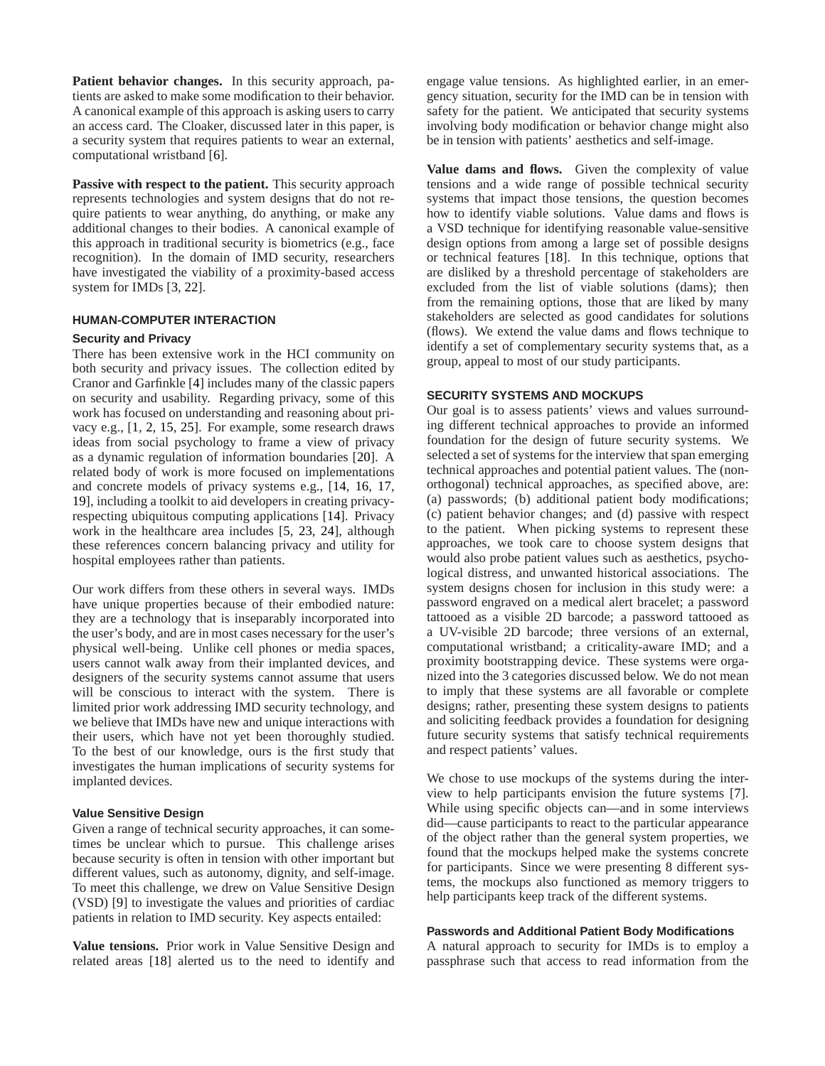**Patient behavior changes.** In this security approach, patients are asked to make some modification to their behavior. A canonical example of this approach is asking users to carry an access card. The Cloaker, discussed later in this paper, is a security system that requires patients to wear an external, computational wristband [\[6\]](#page-9-4).

**Passive with respect to the patient.** This security approach represents technologies and system designs that do not require patients to wear anything, do anything, or make any additional changes to their bodies. A canonical example of this approach in traditional security is biometrics (e.g., face recognition). In the domain of IMD security, researchers have investigated the viability of a proximity-based access system for IMDs [\[3,](#page-9-7) [22\]](#page-9-5).

#### **HUMAN-COMPUTER INTERACTION**

#### **Security and Privacy**

There has been extensive work in the HCI community on both security and privacy issues. The collection edited by Cranor and Garfinkle [\[4\]](#page-9-8) includes many of the classic papers on security and usability. Regarding privacy, some of this work has focused on understanding and reasoning about privacy e.g., [\[1,](#page-9-9) [2,](#page-9-10) [15,](#page-9-11) [25\]](#page-9-12). For example, some research draws ideas from social psychology to frame a view of privacy as a dynamic regulation of information boundaries [\[20\]](#page-9-13). A related body of work is more focused on implementations and concrete models of privacy systems e.g., [\[14,](#page-9-14) [16,](#page-9-15) [17,](#page-9-16) [19\]](#page-9-17), including a toolkit to aid developers in creating privacyrespecting ubiquitous computing applications [\[14\]](#page-9-14). Privacy work in the healthcare area includes [\[5,](#page-9-18) [23,](#page-9-19) [24\]](#page-9-20), although these references concern balancing privacy and utility for hospital employees rather than patients.

Our work differs from these others in several ways. IMDs have unique properties because of their embodied nature: they are a technology that is inseparably incorporated into the user's body, and are in most cases necessary for the user's physical well-being. Unlike cell phones or media spaces, users cannot walk away from their implanted devices, and designers of the security systems cannot assume that users will be conscious to interact with the system. There is limited prior work addressing IMD security technology, and we believe that IMDs have new and unique interactions with their users, which have not yet been thoroughly studied. To the best of our knowledge, ours is the first study that investigates the human implications of security systems for implanted devices.

#### **Value Sensitive Design**

Given a range of technical security approaches, it can sometimes be unclear which to pursue. This challenge arises because security is often in tension with other important but different values, such as autonomy, dignity, and self-image. To meet this challenge, we drew on Value Sensitive Design (VSD) [\[9\]](#page-9-6) to investigate the values and priorities of cardiac patients in relation to IMD security. Key aspects entailed:

**Value tensions.** Prior work in Value Sensitive Design and related areas [\[18\]](#page-9-21) alerted us to the need to identify and engage value tensions. As highlighted earlier, in an emergency situation, security for the IMD can be in tension with safety for the patient. We anticipated that security systems involving body modification or behavior change might also be in tension with patients' aesthetics and self-image.

**Value dams and flows.** Given the complexity of value tensions and a wide range of possible technical security systems that impact those tensions, the question becomes how to identify viable solutions. Value dams and flows is a VSD technique for identifying reasonable value-sensitive design options from among a large set of possible designs or technical features [\[18\]](#page-9-21). In this technique, options that are disliked by a threshold percentage of stakeholders are excluded from the list of viable solutions (dams); then from the remaining options, those that are liked by many stakeholders are selected as good candidates for solutions (flows). We extend the value dams and flows technique to identify a set of complementary security systems that, as a group, appeal to most of our study participants.

### **SECURITY SYSTEMS AND MOCKUPS**

Our goal is to assess patients' views and values surrounding different technical approaches to provide an informed foundation for the design of future security systems. We selected a set of systems for the interview that span emerging technical approaches and potential patient values. The (nonorthogonal) technical approaches, as specified above, are: (a) passwords; (b) additional patient body modifications; (c) patient behavior changes; and (d) passive with respect to the patient. When picking systems to represent these approaches, we took care to choose system designs that would also probe patient values such as aesthetics, psychological distress, and unwanted historical associations. The system designs chosen for inclusion in this study were: a password engraved on a medical alert bracelet; a password tattooed as a visible 2D barcode; a password tattooed as a UV-visible 2D barcode; three versions of an external, computational wristband; a criticality-aware IMD; and a proximity bootstrapping device. These systems were organized into the 3 categories discussed below. We do not mean to imply that these systems are all favorable or complete designs; rather, presenting these system designs to patients and soliciting feedback provides a foundation for designing future security systems that satisfy technical requirements and respect patients' values.

We chose to use mockups of the systems during the interview to help participants envision the future systems [\[7\]](#page-9-22). While using specific objects can—and in some interviews did—cause participants to react to the particular appearance of the object rather than the general system properties, we found that the mockups helped make the systems concrete for participants. Since we were presenting 8 different systems, the mockups also functioned as memory triggers to help participants keep track of the different systems.

#### **Passwords and Additional Patient Body Modifications**

A natural approach to security for IMDs is to employ a passphrase such that access to read information from the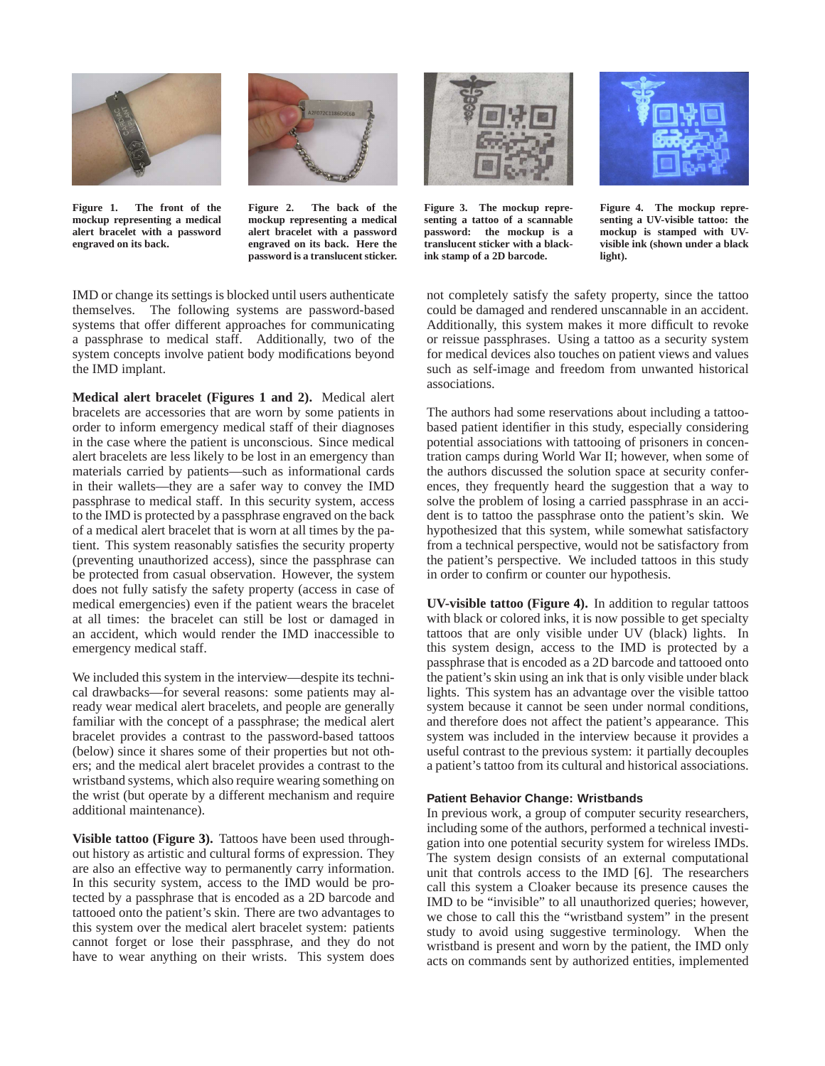

**Figure 1. The front of the mockup representing a medical alert bracelet with a password engraved on its back.**



**Figure 2. The back of the mockup representing a medical alert bracelet with a password engraved on its back. Here the password is a translucent sticker.**

IMD or change its settings is blocked until users authenticate themselves. The following systems are password-based systems that offer different approaches for communicating a passphrase to medical staff. Additionally, two of the system concepts involve patient body modifications beyond the IMD implant.

**Medical alert bracelet (Figures 1 and 2).** Medical alert bracelets are accessories that are worn by some patients in order to inform emergency medical staff of their diagnoses in the case where the patient is unconscious. Since medical alert bracelets are less likely to be lost in an emergency than materials carried by patients—such as informational cards in their wallets—they are a safer way to convey the IMD passphrase to medical staff. In this security system, access to the IMD is protected by a passphrase engraved on the back of a medical alert bracelet that is worn at all times by the patient. This system reasonably satisfies the security property (preventing unauthorized access), since the passphrase can be protected from casual observation. However, the system does not fully satisfy the safety property (access in case of medical emergencies) even if the patient wears the bracelet at all times: the bracelet can still be lost or damaged in an accident, which would render the IMD inaccessible to emergency medical staff.

We included this system in the interview—despite its technical drawbacks—for several reasons: some patients may already wear medical alert bracelets, and people are generally familiar with the concept of a passphrase; the medical alert bracelet provides a contrast to the password-based tattoos (below) since it shares some of their properties but not others; and the medical alert bracelet provides a contrast to the wristband systems, which also require wearing something on the wrist (but operate by a different mechanism and require additional maintenance).

**Visible tattoo (Figure [3\)](#page-3-0).** Tattoos have been used throughout history as artistic and cultural forms of expression. They are also an effective way to permanently carry information. In this security system, access to the IMD would be protected by a passphrase that is encoded as a 2D barcode and tattooed onto the patient's skin. There are two advantages to this system over the medical alert bracelet system: patients cannot forget or lose their passphrase, and they do not have to wear anything on their wrists. This system does



**Figure 3. The mockup representing a tattoo of a scannable password: the mockup is a translucent sticker with a blackink stamp of a 2D barcode.**

<span id="page-3-1"></span>

**Figure 4. The mockup representing a UV-visible tattoo: the mockup is stamped with UVvisible ink (shown under a black light).**

<span id="page-3-0"></span>not completely satisfy the safety property, since the tattoo could be damaged and rendered unscannable in an accident. Additionally, this system makes it more difficult to revoke or reissue passphrases. Using a tattoo as a security system for medical devices also touches on patient views and values such as self-image and freedom from unwanted historical associations.

The authors had some reservations about including a tattoobased patient identifier in this study, especially considering potential associations with tattooing of prisoners in concentration camps during World War II; however, when some of the authors discussed the solution space at security conferences, they frequently heard the suggestion that a way to solve the problem of losing a carried passphrase in an accident is to tattoo the passphrase onto the patient's skin. We hypothesized that this system, while somewhat satisfactory from a technical perspective, would not be satisfactory from the patient's perspective. We included tattoos in this study in order to confirm or counter our hypothesis.

**UV-visible tattoo (Figure [4\)](#page-3-1).** In addition to regular tattoos with black or colored inks, it is now possible to get specialty tattoos that are only visible under UV (black) lights. In this system design, access to the IMD is protected by a passphrase that is encoded as a 2D barcode and tattooed onto the patient's skin using an ink that is only visible under black lights. This system has an advantage over the visible tattoo system because it cannot be seen under normal conditions, and therefore does not affect the patient's appearance. This system was included in the interview because it provides a useful contrast to the previous system: it partially decouples a patient's tattoo from its cultural and historical associations.

#### **Patient Behavior Change: Wristbands**

In previous work, a group of computer security researchers, including some of the authors, performed a technical investigation into one potential security system for wireless IMDs. The system design consists of an external computational unit that controls access to the IMD [\[6\]](#page-9-4). The researchers call this system a Cloaker because its presence causes the IMD to be "invisible" to all unauthorized queries; however, we chose to call this the "wristband system" in the present study to avoid using suggestive terminology. When the wristband is present and worn by the patient, the IMD only acts on commands sent by authorized entities, implemented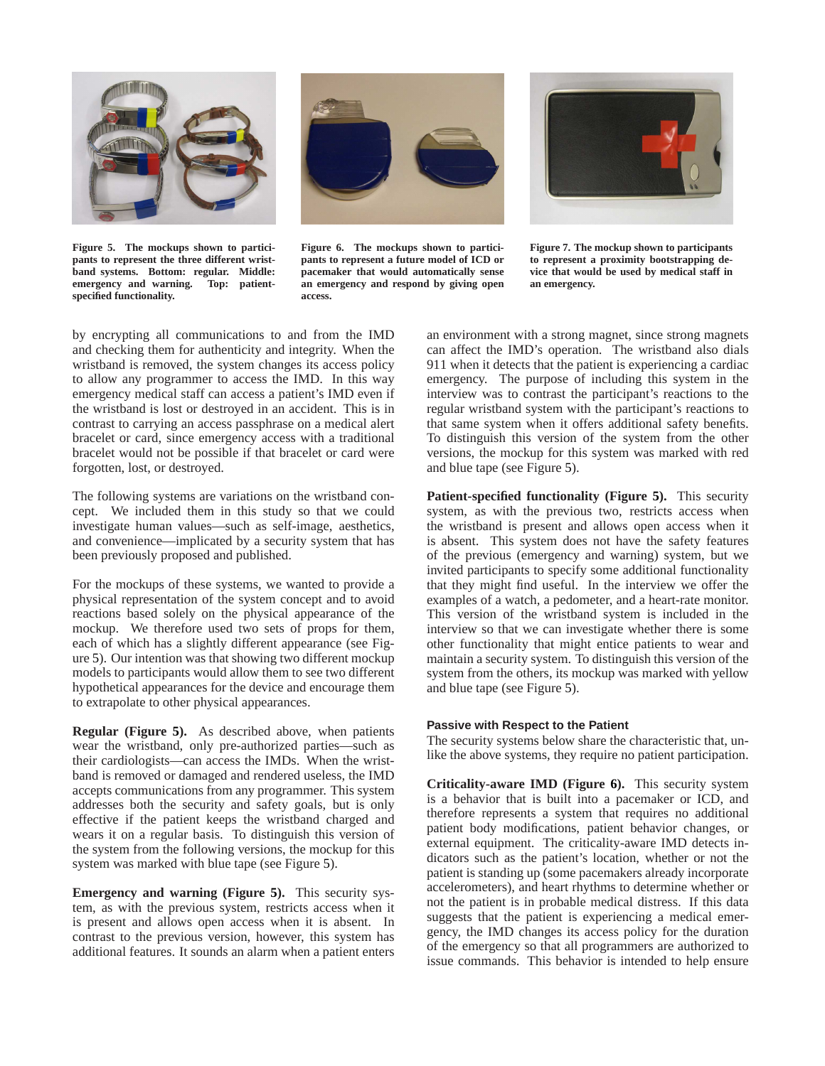

**Figure 5. The mockups shown to participants to represent the three different wristband systems. Bottom: regular. Middle: emergency and warning. Top: patientspecified functionality.**



**Figure 6. The mockups shown to participants to represent a future model of ICD or pacemaker that would automatically sense an emergency and respond by giving open access.**



**Figure 7. The mockup shown to participants to represent a proximity bootstrapping device that would be used by medical staff in an emergency.**

<span id="page-4-0"></span>by encrypting all communications to and from the IMD and checking them for authenticity and integrity. When the wristband is removed, the system changes its access policy to allow any programmer to access the IMD. In this way emergency medical staff can access a patient's IMD even if the wristband is lost or destroyed in an accident. This is in contrast to carrying an access passphrase on a medical alert bracelet or card, since emergency access with a traditional bracelet would not be possible if that bracelet or card were forgotten, lost, or destroyed.

The following systems are variations on the wristband concept. We included them in this study so that we could investigate human values—such as self-image, aesthetics, and convenience—implicated by a security system that has been previously proposed and published.

For the mockups of these systems, we wanted to provide a physical representation of the system concept and to avoid reactions based solely on the physical appearance of the mockup. We therefore used two sets of props for them, each of which has a slightly different appearance (see Figure [5\)](#page-4-0). Our intention was that showing two different mockup models to participants would allow them to see two different hypothetical appearances for the device and encourage them to extrapolate to other physical appearances.

**Regular (Figure [5\)](#page-4-0).** As described above, when patients wear the wristband, only pre-authorized parties—such as their cardiologists—can access the IMDs. When the wristband is removed or damaged and rendered useless, the IMD accepts communications from any programmer. This system addresses both the security and safety goals, but is only effective if the patient keeps the wristband charged and wears it on a regular basis. To distinguish this version of the system from the following versions, the mockup for this system was marked with blue tape (see Figure [5\)](#page-4-0).

**Emergency and warning (Figure [5\)](#page-4-0).** This security system, as with the previous system, restricts access when it is present and allows open access when it is absent. In contrast to the previous version, however, this system has additional features. It sounds an alarm when a patient enters <span id="page-4-2"></span><span id="page-4-1"></span>an environment with a strong magnet, since strong magnets can affect the IMD's operation. The wristband also dials 911 when it detects that the patient is experiencing a cardiac emergency. The purpose of including this system in the interview was to contrast the participant's reactions to the regular wristband system with the participant's reactions to that same system when it offers additional safety benefits. To distinguish this version of the system from the other versions, the mockup for this system was marked with red and blue tape (see Figure [5\)](#page-4-0).

**Patient-specified functionality (Figure [5\)](#page-4-0).** This security system, as with the previous two, restricts access when the wristband is present and allows open access when it is absent. This system does not have the safety features of the previous (emergency and warning) system, but we invited participants to specify some additional functionality that they might find useful. In the interview we offer the examples of a watch, a pedometer, and a heart-rate monitor. This version of the wristband system is included in the interview so that we can investigate whether there is some other functionality that might entice patients to wear and maintain a security system. To distinguish this version of the system from the others, its mockup was marked with yellow and blue tape (see Figure [5\)](#page-4-0).

# **Passive with Respect to the Patient**

The security systems below share the characteristic that, unlike the above systems, they require no patient participation.

**Criticality-aware IMD (Figure [6\)](#page-4-1).** This security system is a behavior that is built into a pacemaker or ICD, and therefore represents a system that requires no additional patient body modifications, patient behavior changes, or external equipment. The criticality-aware IMD detects indicators such as the patient's location, whether or not the patient is standing up (some pacemakers already incorporate accelerometers), and heart rhythms to determine whether or not the patient is in probable medical distress. If this data suggests that the patient is experiencing a medical emergency, the IMD changes its access policy for the duration of the emergency so that all programmers are authorized to issue commands. This behavior is intended to help ensure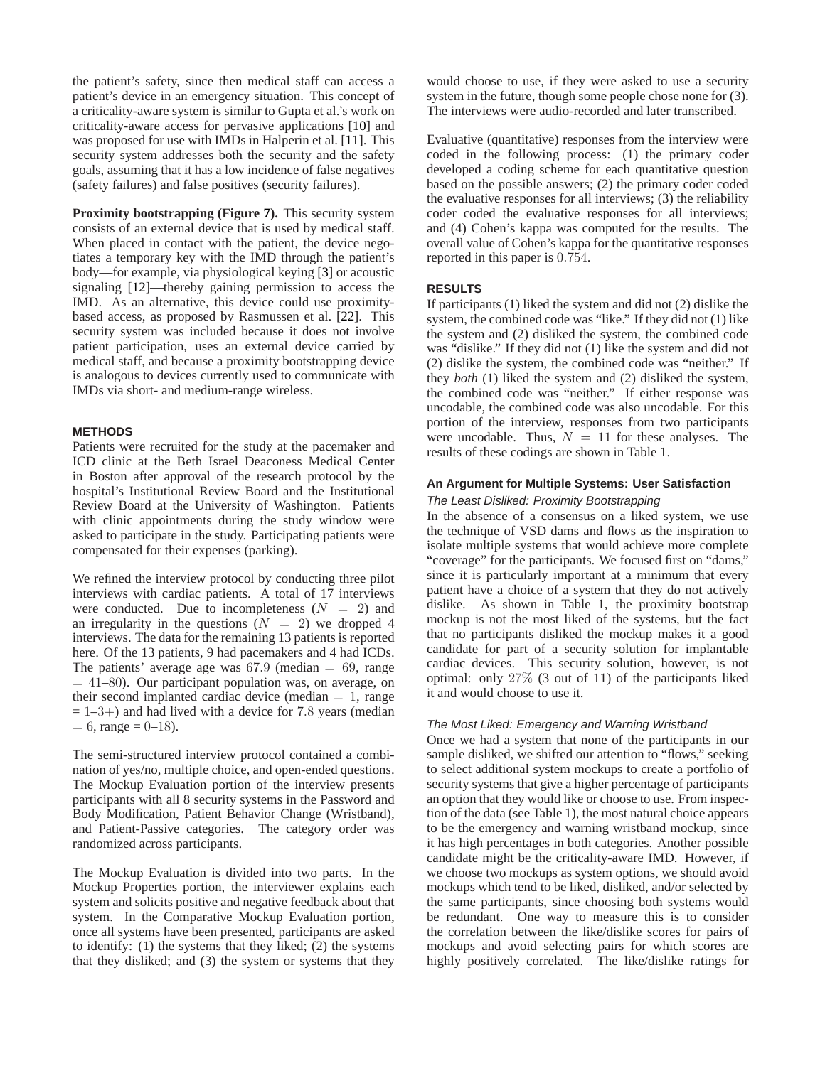the patient's safety, since then medical staff can access a patient's device in an emergency situation. This concept of a criticality-aware system is similar to Gupta et al.'s work on criticality-aware access for pervasive applications [\[10\]](#page-9-23) and was proposed for use with IMDs in Halperin et al. [\[11\]](#page-9-24). This security system addresses both the security and the safety goals, assuming that it has a low incidence of false negatives (safety failures) and false positives (security failures).

**Proximity bootstrapping (Figure [7\)](#page-4-2).** This security system consists of an external device that is used by medical staff. When placed in contact with the patient, the device negotiates a temporary key with the IMD through the patient's body—for example, via physiological keying [\[3\]](#page-9-7) or acoustic signaling [\[12\]](#page-9-1)—thereby gaining permission to access the IMD. As an alternative, this device could use proximitybased access, as proposed by Rasmussen et al. [\[22\]](#page-9-5). This security system was included because it does not involve patient participation, uses an external device carried by medical staff, and because a proximity bootstrapping device is analogous to devices currently used to communicate with IMDs via short- and medium-range wireless.

#### **METHODS**

Patients were recruited for the study at the pacemaker and ICD clinic at the Beth Israel Deaconess Medical Center in Boston after approval of the research protocol by the hospital's Institutional Review Board and the Institutional Review Board at the University of Washington. Patients with clinic appointments during the study window were asked to participate in the study. Participating patients were compensated for their expenses (parking).

We refined the interview protocol by conducting three pilot interviews with cardiac patients. A total of 17 interviews were conducted. Due to incompleteness  $(N = 2)$  and an irregularity in the questions  $(N = 2)$  we dropped 4 interviews. The data for the remaining 13 patients is reported here. Of the 13 patients, 9 had pacemakers and 4 had ICDs. The patients' average age was  $67.9$  (median  $= 69$ , range  $= 41-80$ ). Our participant population was, on average, on their second implanted cardiac device (median  $= 1$ , range  $= 1-3+$ ) and had lived with a device for 7.8 years (median  $= 6$ , range  $= 0 - 18$ ).

The semi-structured interview protocol contained a combination of yes/no, multiple choice, and open-ended questions. The Mockup Evaluation portion of the interview presents participants with all 8 security systems in the Password and Body Modification, Patient Behavior Change (Wristband), and Patient-Passive categories. The category order was randomized across participants.

The Mockup Evaluation is divided into two parts. In the Mockup Properties portion, the interviewer explains each system and solicits positive and negative feedback about that system. In the Comparative Mockup Evaluation portion, once all systems have been presented, participants are asked to identify: (1) the systems that they liked; (2) the systems that they disliked; and (3) the system or systems that they

would choose to use, if they were asked to use a security system in the future, though some people chose none for (3). The interviews were audio-recorded and later transcribed.

Evaluative (quantitative) responses from the interview were coded in the following process: (1) the primary coder developed a coding scheme for each quantitative question based on the possible answers; (2) the primary coder coded the evaluative responses for all interviews; (3) the reliability coder coded the evaluative responses for all interviews; and (4) Cohen's kappa was computed for the results. The overall value of Cohen's kappa for the quantitative responses reported in this paper is 0.754.

#### **RESULTS**

If participants (1) liked the system and did not (2) dislike the system, the combined code was "like." If they did not (1) like the system and (2) disliked the system, the combined code was "dislike." If they did not (1) like the system and did not (2) dislike the system, the combined code was "neither." If they *both* (1) liked the system and (2) disliked the system, the combined code was "neither." If either response was uncodable, the combined code was also uncodable. For this portion of the interview, responses from two participants were uncodable. Thus,  $N = 11$  for these analyses. The results of these codings are shown in Table [1.](#page-6-0)

#### **An Argument for Multiple Systems: User Satisfaction**

#### The Least Disliked: Proximity Bootstrapping

In the absence of a consensus on a liked system, we use the technique of VSD dams and flows as the inspiration to isolate multiple systems that would achieve more complete "coverage" for the participants. We focused first on "dams," since it is particularly important at a minimum that every patient have a choice of a system that they do not actively dislike. As shown in Table 1, the proximity bootstrap mockup is not the most liked of the systems, but the fact that no participants disliked the mockup makes it a good candidate for part of a security solution for implantable cardiac devices. This security solution, however, is not optimal: only 27% (3 out of 11) of the participants liked it and would choose to use it.

#### The Most Liked: Emergency and Warning Wristband

Once we had a system that none of the participants in our sample disliked, we shifted our attention to "flows," seeking to select additional system mockups to create a portfolio of security systems that give a higher percentage of participants an option that they would like or choose to use. From inspection of the data (see Table 1), the most natural choice appears to be the emergency and warning wristband mockup, since it has high percentages in both categories. Another possible candidate might be the criticality-aware IMD. However, if we choose two mockups as system options, we should avoid mockups which tend to be liked, disliked, and/or selected by the same participants, since choosing both systems would be redundant. One way to measure this is to consider the correlation between the like/dislike scores for pairs of mockups and avoid selecting pairs for which scores are highly positively correlated. The like/dislike ratings for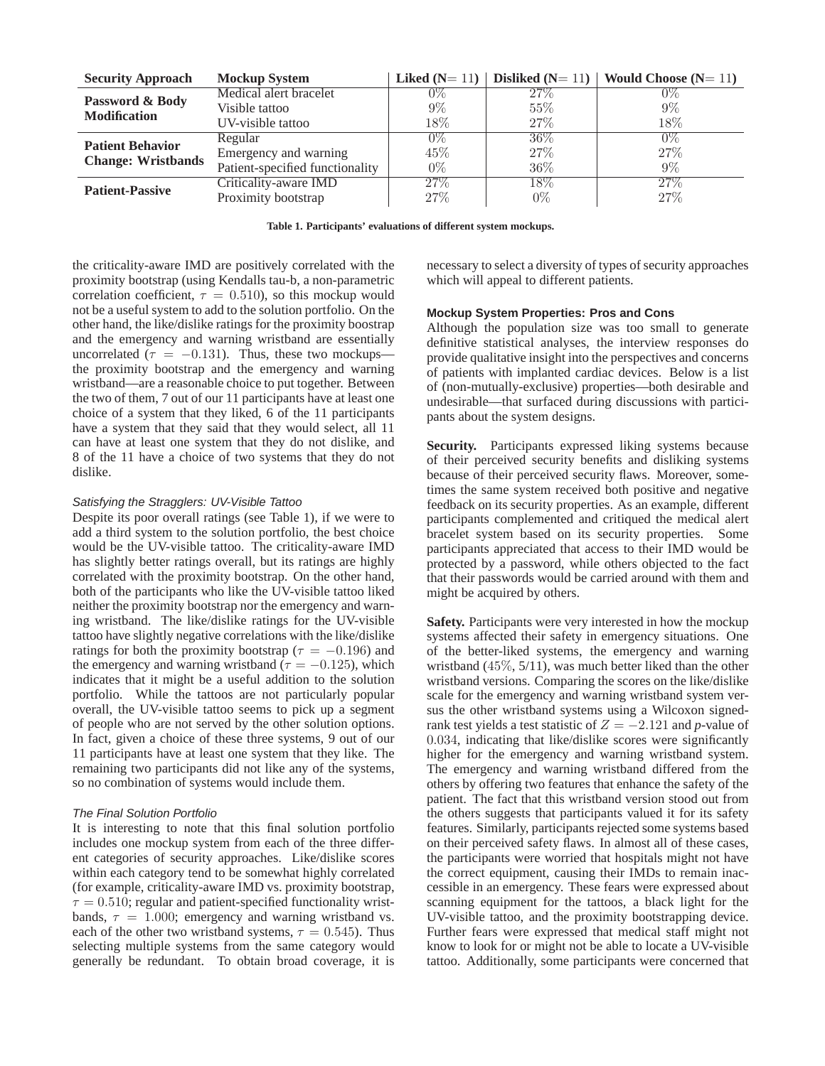| <b>Security Approach</b>                             | <b>Mockup System</b>            | Liked $(N=11)$ |        | Disliked $(N=11)$   Would Choose $(N=11)$ |
|------------------------------------------------------|---------------------------------|----------------|--------|-------------------------------------------|
| Password & Body<br><b>Modification</b>               | Medical alert bracelet          | $0\%$          | $27\%$ | $0\%$                                     |
|                                                      | Visible tattoo                  | $9\%$          | $55\%$ | $9\%$                                     |
|                                                      | UV-visible tattoo               | $18\%$         | 27%    | 18%                                       |
| <b>Patient Behavior</b><br><b>Change: Wristbands</b> | Regular                         | $0\%$          | $36\%$ | $0\%$                                     |
|                                                      | Emergency and warning           | 45\%           | 27%    | 27%                                       |
|                                                      | Patient-specified functionality | $0\%$          | $36\%$ | $9\%$                                     |
| <b>Patient-Passive</b>                               | Criticality-aware IMD           | 27\%           | $18\%$ | 27\%                                      |
|                                                      | Proximity bootstrap             | 27%            | $0\%$  | 27%                                       |

<span id="page-6-0"></span>**Table 1. Participants' evaluations of different system mockups.**

the criticality-aware IMD are positively correlated with the proximity bootstrap (using Kendalls tau-b, a non-parametric correlation coefficient,  $\tau = 0.510$ ), so this mockup would not be a useful system to add to the solution portfolio. On the other hand, the like/dislike ratings for the proximity boostrap and the emergency and warning wristband are essentially uncorrelated ( $\tau = -0.131$ ). Thus, these two mockups the proximity bootstrap and the emergency and warning wristband—are a reasonable choice to put together. Between the two of them, 7 out of our 11 participants have at least one choice of a system that they liked, 6 of the 11 participants have a system that they said that they would select, all 11 can have at least one system that they do not dislike, and 8 of the 11 have a choice of two systems that they do not dislike.

#### Satisfying the Stragglers: UV-Visible Tattoo

Despite its poor overall ratings (see Table 1), if we were to add a third system to the solution portfolio, the best choice would be the UV-visible tattoo. The criticality-aware IMD has slightly better ratings overall, but its ratings are highly correlated with the proximity bootstrap. On the other hand, both of the participants who like the UV-visible tattoo liked neither the proximity bootstrap nor the emergency and warning wristband. The like/dislike ratings for the UV-visible tattoo have slightly negative correlations with the like/dislike ratings for both the proximity bootstrap ( $\tau = -0.196$ ) and the emergency and warning wristband ( $\tau = -0.125$ ), which indicates that it might be a useful addition to the solution portfolio. While the tattoos are not particularly popular overall, the UV-visible tattoo seems to pick up a segment of people who are not served by the other solution options. In fact, given a choice of these three systems, 9 out of our 11 participants have at least one system that they like. The remaining two participants did not like any of the systems, so no combination of systems would include them.

#### The Final Solution Portfolio

It is interesting to note that this final solution portfolio includes one mockup system from each of the three different categories of security approaches. Like/dislike scores within each category tend to be somewhat highly correlated (for example, criticality-aware IMD vs. proximity bootstrap,  $\tau = 0.510$ ; regular and patient-specified functionality wristbands,  $\tau = 1.000$ ; emergency and warning wristband vs. each of the other two wristband systems,  $\tau = 0.545$ ). Thus selecting multiple systems from the same category would generally be redundant. To obtain broad coverage, it is necessary to select a diversity of types of security approaches which will appeal to different patients.

#### **Mockup System Properties: Pros and Cons**

Although the population size was too small to generate definitive statistical analyses, the interview responses do provide qualitative insight into the perspectives and concerns of patients with implanted cardiac devices. Below is a list of (non-mutually-exclusive) properties—both desirable and undesirable—that surfaced during discussions with participants about the system designs.

**Security.** Participants expressed liking systems because of their perceived security benefits and disliking systems because of their perceived security flaws. Moreover, sometimes the same system received both positive and negative feedback on its security properties. As an example, different participants complemented and critiqued the medical alert bracelet system based on its security properties. Some participants appreciated that access to their IMD would be protected by a password, while others objected to the fact that their passwords would be carried around with them and might be acquired by others.

**Safety.** Participants were very interested in how the mockup systems affected their safety in emergency situations. One of the better-liked systems, the emergency and warning wristband (45%, 5/11), was much better liked than the other wristband versions. Comparing the scores on the like/dislike scale for the emergency and warning wristband system versus the other wristband systems using a Wilcoxon signedrank test yields a test statistic of  $Z = -2.121$  and *p*-value of 0.034, indicating that like/dislike scores were significantly higher for the emergency and warning wristband system. The emergency and warning wristband differed from the others by offering two features that enhance the safety of the patient. The fact that this wristband version stood out from the others suggests that participants valued it for its safety features. Similarly, participants rejected some systems based on their perceived safety flaws. In almost all of these cases, the participants were worried that hospitals might not have the correct equipment, causing their IMDs to remain inaccessible in an emergency. These fears were expressed about scanning equipment for the tattoos, a black light for the UV-visible tattoo, and the proximity bootstrapping device. Further fears were expressed that medical staff might not know to look for or might not be able to locate a UV-visible tattoo. Additionally, some participants were concerned that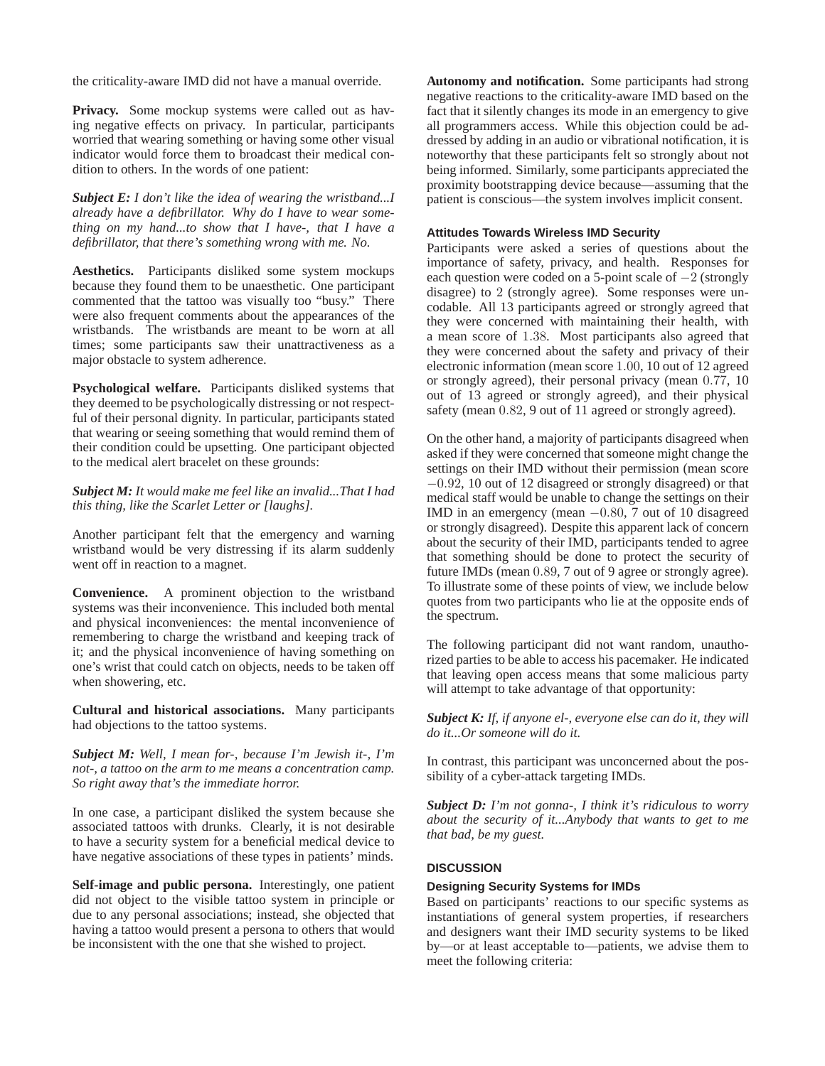the criticality-aware IMD did not have a manual override.

**Privacy.** Some mockup systems were called out as having negative effects on privacy. In particular, participants worried that wearing something or having some other visual indicator would force them to broadcast their medical condition to others. In the words of one patient:

*Subject E: I don't like the idea of wearing the wristband...I already have a defibrillator. Why do I have to wear something on my hand...to show that I have-, that I have a defibrillator, that there's something wrong with me. No.*

**Aesthetics.** Participants disliked some system mockups because they found them to be unaesthetic. One participant commented that the tattoo was visually too "busy." There were also frequent comments about the appearances of the wristbands. The wristbands are meant to be worn at all times; some participants saw their unattractiveness as a major obstacle to system adherence.

**Psychological welfare.** Participants disliked systems that they deemed to be psychologically distressing or not respectful of their personal dignity. In particular, participants stated that wearing or seeing something that would remind them of their condition could be upsetting. One participant objected to the medical alert bracelet on these grounds:

*Subject M: It would make me feel like an invalid...That I had this thing, like the Scarlet Letter or [laughs].*

Another participant felt that the emergency and warning wristband would be very distressing if its alarm suddenly went off in reaction to a magnet.

**Convenience.** A prominent objection to the wristband systems was their inconvenience. This included both mental and physical inconveniences: the mental inconvenience of remembering to charge the wristband and keeping track of it; and the physical inconvenience of having something on one's wrist that could catch on objects, needs to be taken off when showering, etc.

**Cultural and historical associations.** Many participants had objections to the tattoo systems.

*Subject M: Well, I mean for-, because I'm Jewish it-, I'm not-, a tattoo on the arm to me means a concentration camp. So right away that's the immediate horror.*

In one case, a participant disliked the system because she associated tattoos with drunks. Clearly, it is not desirable to have a security system for a beneficial medical device to have negative associations of these types in patients' minds.

**Self-image and public persona.** Interestingly, one patient did not object to the visible tattoo system in principle or due to any personal associations; instead, she objected that having a tattoo would present a persona to others that would be inconsistent with the one that she wished to project.

**Autonomy and notification.** Some participants had strong negative reactions to the criticality-aware IMD based on the fact that it silently changes its mode in an emergency to give all programmers access. While this objection could be addressed by adding in an audio or vibrational notification, it is noteworthy that these participants felt so strongly about not being informed. Similarly, some participants appreciated the proximity bootstrapping device because—assuming that the patient is conscious—the system involves implicit consent.

#### **Attitudes Towards Wireless IMD Security**

Participants were asked a series of questions about the importance of safety, privacy, and health. Responses for each question were coded on a 5-point scale of −2 (strongly disagree) to 2 (strongly agree). Some responses were uncodable. All 13 participants agreed or strongly agreed that they were concerned with maintaining their health, with a mean score of 1.38. Most participants also agreed that they were concerned about the safety and privacy of their electronic information (mean score 1.00, 10 out of 12 agreed or strongly agreed), their personal privacy (mean 0.77, 10 out of 13 agreed or strongly agreed), and their physical safety (mean 0.82, 9 out of 11 agreed or strongly agreed).

On the other hand, a majority of participants disagreed when asked if they were concerned that someone might change the settings on their IMD without their permission (mean score −0.92, 10 out of 12 disagreed or strongly disagreed) or that medical staff would be unable to change the settings on their IMD in an emergency (mean −0.80, 7 out of 10 disagreed or strongly disagreed). Despite this apparent lack of concern about the security of their IMD, participants tended to agree that something should be done to protect the security of future IMDs (mean 0.89, 7 out of 9 agree or strongly agree). To illustrate some of these points of view, we include below quotes from two participants who lie at the opposite ends of the spectrum.

The following participant did not want random, unauthorized parties to be able to access his pacemaker. He indicated that leaving open access means that some malicious party will attempt to take advantage of that opportunity:

*Subject K: If, if anyone el-, everyone else can do it, they will do it...Or someone will do it.*

In contrast, this participant was unconcerned about the possibility of a cyber-attack targeting IMDs.

*Subject D: I'm not gonna-, I think it's ridiculous to worry about the security of it...Anybody that wants to get to me that bad, be my guest.*

# **DISCUSSION**

#### **Designing Security Systems for IMDs**

Based on participants' reactions to our specific systems as instantiations of general system properties, if researchers and designers want their IMD security systems to be liked by—or at least acceptable to—patients, we advise them to meet the following criteria: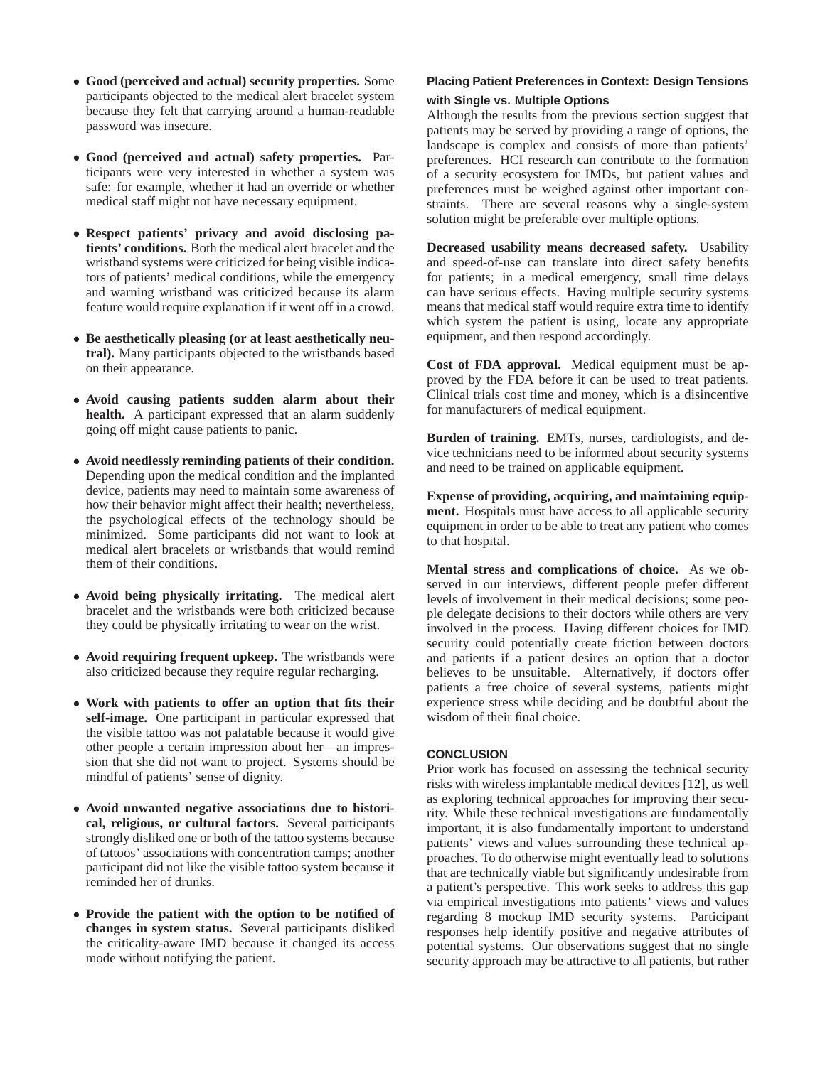- **Good (perceived and actual) security properties.** Some participants objected to the medical alert bracelet system because they felt that carrying around a human-readable password was insecure.
- **Good (perceived and actual) safety properties.** Participants were very interested in whether a system was safe: for example, whether it had an override or whether medical staff might not have necessary equipment.
- **Respect patients' privacy and avoid disclosing patients' conditions.** Both the medical alert bracelet and the wristband systems were criticized for being visible indicators of patients' medical conditions, while the emergency and warning wristband was criticized because its alarm feature would require explanation if it went off in a crowd.
- **Be aesthetically pleasing (or at least aesthetically neutral).** Many participants objected to the wristbands based on their appearance.
- **Avoid causing patients sudden alarm about their health.** A participant expressed that an alarm suddenly going off might cause patients to panic.
- **Avoid needlessly reminding patients of their condition.** Depending upon the medical condition and the implanted device, patients may need to maintain some awareness of how their behavior might affect their health; nevertheless, the psychological effects of the technology should be minimized. Some participants did not want to look at medical alert bracelets or wristbands that would remind them of their conditions.
- **Avoid being physically irritating.** The medical alert bracelet and the wristbands were both criticized because they could be physically irritating to wear on the wrist.
- **Avoid requiring frequent upkeep.** The wristbands were also criticized because they require regular recharging.
- **Work with patients to offer an option that fits their self-image.** One participant in particular expressed that the visible tattoo was not palatable because it would give other people a certain impression about her—an impression that she did not want to project. Systems should be mindful of patients' sense of dignity.
- **Avoid unwanted negative associations due to historical, religious, or cultural factors.** Several participants strongly disliked one or both of the tattoo systems because of tattoos' associations with concentration camps; another participant did not like the visible tattoo system because it reminded her of drunks.
- **Provide the patient with the option to be notified of changes in system status.** Several participants disliked the criticality-aware IMD because it changed its access mode without notifying the patient.

# **Placing Patient Preferences in Context: Design Tensions**

# **with Single vs. Multiple Options**

Although the results from the previous section suggest that patients may be served by providing a range of options, the landscape is complex and consists of more than patients' preferences. HCI research can contribute to the formation of a security ecosystem for IMDs, but patient values and preferences must be weighed against other important constraints. There are several reasons why a single-system solution might be preferable over multiple options.

**Decreased usability means decreased safety.** Usability and speed-of-use can translate into direct safety benefits for patients; in a medical emergency, small time delays can have serious effects. Having multiple security systems means that medical staff would require extra time to identify which system the patient is using, locate any appropriate equipment, and then respond accordingly.

**Cost of FDA approval.** Medical equipment must be approved by the FDA before it can be used to treat patients. Clinical trials cost time and money, which is a disincentive for manufacturers of medical equipment.

**Burden of training.** EMTs, nurses, cardiologists, and device technicians need to be informed about security systems and need to be trained on applicable equipment.

**Expense of providing, acquiring, and maintaining equipment.** Hospitals must have access to all applicable security equipment in order to be able to treat any patient who comes to that hospital.

**Mental stress and complications of choice.** As we observed in our interviews, different people prefer different levels of involvement in their medical decisions; some people delegate decisions to their doctors while others are very involved in the process. Having different choices for IMD security could potentially create friction between doctors and patients if a patient desires an option that a doctor believes to be unsuitable. Alternatively, if doctors offer patients a free choice of several systems, patients might experience stress while deciding and be doubtful about the wisdom of their final choice.

# **CONCLUSION**

Prior work has focused on assessing the technical security risks with wireless implantable medical devices [\[12\]](#page-9-1), as well as exploring technical approaches for improving their security. While these technical investigations are fundamentally important, it is also fundamentally important to understand patients' views and values surrounding these technical approaches. To do otherwise might eventually lead to solutions that are technically viable but significantly undesirable from a patient's perspective. This work seeks to address this gap via empirical investigations into patients' views and values regarding 8 mockup IMD security systems. Participant responses help identify positive and negative attributes of potential systems. Our observations suggest that no single security approach may be attractive to all patients, but rather